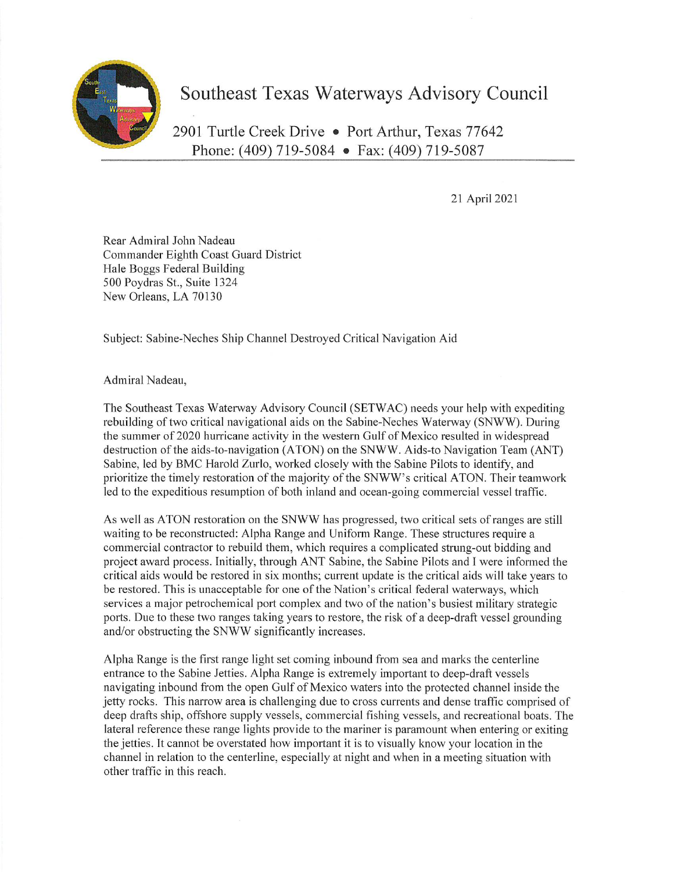

## Southeast Texas Waterways Advisory Council

2901 Turtle Creek Drive . Port Arthur, Texas 77642 Phone: (409) 719-5084 @ Fax: (409) 719-5087

21 April 2021

Rear Admiral John Nadeau Commander Eighth Coast Guard District Hale Boggs Federal Building 500 Poydras st., Suite 1324 New Orleans, LA 70130

Subject: Sabine-Neches Ship Channel Destroyed Critical Navigation Aid

Admiral Nadeau,

The Southeast Texas Waterway Advisory Council (SETWAC) needs your help with expediting rebuilding of two critical navigational aids on the Sabine-Neches Waterway (SNWW). During the summer of 2020 hurricane activity in the western Gulf of Mexico resulted in widespread destruction of the aids-to-navigation (ATON) on the SNWW. Aids-to Navigation Team (ANT) Sabine, led by BMC Harold Zurlo, worked closely with the Sabine Pilots to identify, and prioritize the timely restoration of the majority of the SNWW's critical ATON. Their teamwork led to the expeditious resumption of both inland and ocean-going commercial vessel traffic.

As well as ATON restoration on the SNWW has progressed, two critical sets of ranges are still waiting to be reconstructed: Alpha Range and Uniform Range. These structures require a commercial contractor to rebuild them, which requires a complicated strung-out bidding and project award process. Initially, through ANT Sabine, the Sabine Pilots and I were informed the critical aids would be restored in six months; current update is the critical aids will take years to be restored. This is unacceptable for one of the Nation's critical federal waterways, which services a major petrochemical port complex and two of the nation's busiest military strategic ports. Due to these two ranges taking years to restore, the risk of a deep-draft vessel grounding and/or obstructing the SNWW significantly increases.

Alpha Range is the first range light set coming inbound from sea and marks the centerline entrance to the Sabine Jetties. Alpha Range is extremely important to deep-draft vessels navigating inbound from the open Gulf of Mexico waters into the protected channel inside the jetty rocks. This narrow area is challenging due to cross currents and dense traffic comprised of deep drafts ship, offshore supply vessels, commercial fishing vessels, and recreational boats. The lateral reference these range liglits provide to the mariner is paramount when entering or exiting the jetties. It cannot be overstated how important it is to visually know your location in the channel in relation to the centerline, especially at night and when in a meeting situation with other traffic in this reach.